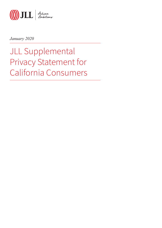

*January 2020*

JLL Supplemental Privacy Statement for California Consumers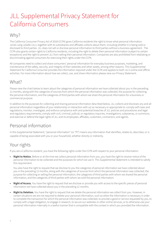# JLL Supplemental Privacy Statement for California Consumers

#### Why?

The California Consumer Privacy Act of 2018 (CCPA) gives California residents the right to know what personal information Jones Lang LaSalle (JLL), together with its subsidiaries and affiliates collects about them, including whether it is being sold or disclosed to third parties. JLL does not sell or disclose personal information to third parties without a business agreement. The CCPA also grants certain rights to California residents, including the right to delete their personal information (subject to certain exceptions) and the right to prevent JLL from selling their personal information. Companies are also prohibited from retaliating or discriminating against consumers for exercising their rights under the CCPA.

All companies need to collect and share consumers' personal information for everyday business purposes, marketing, and maintenance of the safety, security, and integrity of their websites and other assets, among other reasons. This Supplemental Statement for California Consumer provides the information required under the CCPA and applies to both JLL's online and offline activities. For more information about how we collect, use, and share information please view our Privacy Statement.

### What?

Please view the chart below to learn about the categories of personal information we have collected about you in the preceding 12 months, along with the categories of sources from which the personal information was collected, the purpose for collecting the personal information, and the categories of third parties with whom we share the personal information for a business or commercial purpose.

In addition to the purposes for collecting and sharing personal information described below, JLL collects and discloses any and all personal information (regardless of your relationship or interaction with us) as necessary or appropriate to: comply with laws and regulations; monitor, investigate, and enforce compliance with and potential breaches of JLL policies and procedures and legal and regulatory requirements; comply with civil, criminal, judicial, or regulatory inquiries, investigations, subpoenas, or summons; and exercise or defend the legal rights of JLL and its employees, affiliates, customers, contractors, and agents.

## Personal information

In this Supplemental Statement, "personal information" (or "PI") means any information that identifies, relates to, describes, or is capable of being associated with you or your household, whether directly or indirectly.

## Your rights

If you are a California resident, you have the following rights under the CCPA with respect to your personal information:

**• Right to Notice.** Before or at the time we collect personal information from you, you have the right to receive notice of the personal information to be collected and the purposes for which we use it. This Supplemental Statement is intended to satisfy this requirement.

You also have the right to request that we disclose to you the categories of personal information we have collected about you in the preceding 12 months, along with the categories of sources from which the personal information was collected, the purpose for collecting or selling the personal information, the categories of third parties with whom we shared the personal information, and the categories of third parties with whom we sold the personal information.

- **• Right of Access.** You have the right to request that we disclose or provide you with access to the specific pieces of personal information we have collected about you in the preceding 12 months.
- **• Right to Deletion.** You have the right to request that we delete the personal information we collect from you. However, in certain situations we are not required to delete your personal information, such as when the information is necessary in order to complete the transaction for which the personal information was collected, to provide a good or service requested by you, to comply with a legal obligation, to engage in research, to secure our websites or other online services, or to otherwise use your personal information internally in a lawful manner that is compatible with the context in which you provided the information.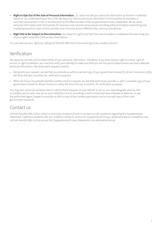- **• Right to Opt-Out of the Sale of Personal Information.** JLL does not sell your personal information as the term is defined based on our understanding of the CCPA. We have not sold any personal information to third parties for business or commercial purposes in the 12 months prior to the effective date of this Supplemental Privacy Statement. We do share personal information with third parties for business and commercial purposes including without limitation advertising and marketing based on Users online activities over time and across different sites, services and devices.
- **• Right Not to Be Subject to Discrimination.** You have the right to be free from discrimination or retaliation for exercising any of your rights under the CCPA as described above.

You can exercise your rights by calling toll-free 833-906-2120 or by emailing privacy-am@am.jll.com

#### Verification

We value the security and confidentiality of your personal information. Therefore, if you exercise your right to notice, right of access, or right to deletion, we must first verify your identify to make sure that you are the person about whom we have collected personal information. We verify every request carefully.

- Along with your request, we ask that you provide us with a scanned copy of your government-issued ID, driver's license or utility bill (from the last 3 months); for verification purposes.
- When all of your household members jointly submit a request, we ask that each of you provide us with a scanned copy of your government-issued ID, driver's license or utility bill (from the last 3 months); for verification purposes.

You may also authorize someone else to submit these requests on your behalf. To do so, you may designate directly with us another person who may act on your behalf by such as providing us with a notarized copy of power of attorney, or ask the authorized agent (lawyer) to provide us with a copy of your written permission and a scanned copy of their own government-issued ID.

#### Contact us

Call toll-free 833-906-2120 or email us at privacy-am@am.jll.com to contact us with questions regarding this Supplemental Statement. California residents who are unable to review or access this Supplemental Privacy Statement due to a disability may call toll-free 833-906-2120 to access this Supplemental Privacy Statement in an alternative format.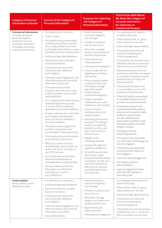| <b>Category of Personal</b><br><b>Information Collected</b>                                                                                                                         | <b>Sources of the Category of</b><br><b>Personal Information</b>                                                                                                                                                                                                                                                                                                                                                                                                                                                                                                                                                                                                                                                                                                                                                                                                                                                                                                                                                                                                                                                                                                                                                                                                                                                                                                                                                                                                                                                                  | <b>Purposes for Collecting</b><br>the Category of<br><b>Personal Information</b>                                                                                                                                                                                                                                                                                                                                                                                                                                                                                                                                                                                                                                                                                                                                                                                                                                                                                                                                                                                                                                                                 | <b>Third Parties With Whom</b><br>We Share the Category of<br><b>Personal Information</b><br>for a Business or<br><b>Commercial Purpose</b>                                                                                                                                                                                                                                                                                                                                                                                                                                                                                                                                                                                                                                                                                                                                                                                                                                                                                                                                                                                                                                                                                                                                                                                                                                                                                                |
|-------------------------------------------------------------------------------------------------------------------------------------------------------------------------------------|-----------------------------------------------------------------------------------------------------------------------------------------------------------------------------------------------------------------------------------------------------------------------------------------------------------------------------------------------------------------------------------------------------------------------------------------------------------------------------------------------------------------------------------------------------------------------------------------------------------------------------------------------------------------------------------------------------------------------------------------------------------------------------------------------------------------------------------------------------------------------------------------------------------------------------------------------------------------------------------------------------------------------------------------------------------------------------------------------------------------------------------------------------------------------------------------------------------------------------------------------------------------------------------------------------------------------------------------------------------------------------------------------------------------------------------------------------------------------------------------------------------------------------------|--------------------------------------------------------------------------------------------------------------------------------------------------------------------------------------------------------------------------------------------------------------------------------------------------------------------------------------------------------------------------------------------------------------------------------------------------------------------------------------------------------------------------------------------------------------------------------------------------------------------------------------------------------------------------------------------------------------------------------------------------------------------------------------------------------------------------------------------------------------------------------------------------------------------------------------------------------------------------------------------------------------------------------------------------------------------------------------------------------------------------------------------------|--------------------------------------------------------------------------------------------------------------------------------------------------------------------------------------------------------------------------------------------------------------------------------------------------------------------------------------------------------------------------------------------------------------------------------------------------------------------------------------------------------------------------------------------------------------------------------------------------------------------------------------------------------------------------------------------------------------------------------------------------------------------------------------------------------------------------------------------------------------------------------------------------------------------------------------------------------------------------------------------------------------------------------------------------------------------------------------------------------------------------------------------------------------------------------------------------------------------------------------------------------------------------------------------------------------------------------------------------------------------------------------------------------------------------------------------|
| <b>Commercial Information</b><br>Including records of<br>personal property,<br>products or services<br>purchased, obtained or<br>considered, real estate<br>interests & preferences | • You (directly from consumer).<br>• Public records.<br>Third parties who provide digital<br>marketing and analytics services<br>for us using cookies and similar<br>technologies that contain a unique<br>identifier, such as an advertising ID.<br>• Authorized/legal representatives.<br>Payment processors and other<br>$\bullet$<br>financial institutions.<br>• Third parties who assist with<br>fraud prevention, detection,<br>and mitigation.<br>• Consumer reporting agencies and<br>other third parties who verify the<br>information you provide.<br>Third parties that provide<br>$\bullet$<br>access to information you make<br>publicly available, such as social<br>media platforms.<br>• Your computer and mobile devices<br>(automatically) when you visit<br>or interact with our websites,<br>applications, and online platforms.<br>• Cookies, web beacons, and similar<br>technologies (automatically)<br>when you visit our websites or<br>third-party websites.<br>• Third party advertising partners<br>and other third parties who<br>provide digital marketing services.<br>• Third parties who provide website<br>and online security services.<br>• When you contact or visit us<br>(automatically), such as when we<br>record calls to our call center or<br>use CCTV cameras.<br>• Your mobile devices and other<br>internet-connected devices<br>and applications (automatically).<br>• We draw inferences from the<br>information we collect from<br>and about you, such as<br>your preferences. | • Determine product<br>and service eligibility<br>and coverage.<br>• Provide our products<br>and services to you.<br>· Administer, manage,<br>analyze, and improve our<br>products and services.<br>• Issue invoices and<br>collect payments.<br>• Fulfill payment obligations.<br>• Communicate with you<br>regarding our products,<br>and services.<br>• Procure vendor/supplier<br>products and services,<br>including to manage<br>and satisfy related<br>vendor/supplier<br>contractual obligations.<br>• Analyze and better<br>understand your needs,<br>preferences, and interests.<br>• Conduct internal<br>business analysis and<br>market research.<br>• Advertising and product<br>promotion, including to<br>contact you regarding<br>products, services, and<br>topics that may be of<br>interest to you.<br>• Engage in joint<br>marketing initiatives.<br>• Comply with legal and<br>regulatory obligations.<br>• To identify you and your<br>device(s) for any/all<br>purposes identified above,<br>including to monitor your<br>use of and interactions<br>with products, services,<br>and advertisements for<br>such purposes. | · JLL employees who require it<br>to perform their jobs.<br>• Other entities of the JLL group<br>help us deliver our services.<br>• Authorized/legal representatives.<br>Third parties with whom we<br>have joint marketing and<br>similar arrangements.<br>• Third parties who provide product<br>fulfillment services in connection<br>with our products and services.<br>Payment processors, financial<br>$\bullet$<br>institutions, and others as needed<br>to complete transactions and for<br>authentication, security, and<br>fraud prevention.<br>• Third parties who deliver our<br>communications, such as the<br>postal service and couriers.<br>• Other third parties as necessary<br>to complete transactions and<br>provide our products/services.<br>• Third parties who provide<br>marketing and data analytics<br>services, such as social media<br>platforms used to deliver<br>our ads, website/email<br>optimization providers, email<br>marketing vendors, and data<br>analytics vendors.<br>Third party network<br>advertising partners.<br>• Third parties who assist with<br>our information technology and<br>security programs.<br>• Third parties who assist with<br>fraud prevention, detection,<br>and mitigation.<br>• Consumer reporting agencies.<br>Our lawyers, auditors,<br>$\bullet$<br>and consultants.<br>Legal and regulatory bodies<br>$\bullet$<br>and other third parties as<br>required by law. |
| <b>Contact details</b><br>Name, address, email,<br>telephone number                                                                                                                 | • You (directly from consumer).<br>Authorized/legal representatives.<br>$\bullet$<br>Payment processors and other<br>$\bullet$<br>financial institutions.<br>• Third parties who assist with<br>fraud prevention, detection,<br>and mitigation.<br>• Consumer reporting agencies and<br>other third parties who verify the<br>information you provide.<br>• Your mobile devices.                                                                                                                                                                                                                                                                                                                                                                                                                                                                                                                                                                                                                                                                                                                                                                                                                                                                                                                                                                                                                                                                                                                                                  | • Determine product<br>and service eligibility<br>and coverage.<br>• Provide our products and<br>services to you.<br>• Administer, manage,<br>analyze, and improve our<br>products and services.<br>• Issue invoices and<br>collect payments.<br>• Fulfill payment obligations.                                                                                                                                                                                                                                                                                                                                                                                                                                                                                                                                                                                                                                                                                                                                                                                                                                                                  | • JLL employees who require it to<br>perform their jobs.<br>• Other entities of the JLL group<br>help us deliver our services.<br>• Authorized/legal representatives.<br>Third parties with whom we<br>have joint marketing and<br>similar arrangements.<br>Third parties who provide product<br>$\bullet$<br>fulfillment services in connection<br>with our products and services.                                                                                                                                                                                                                                                                                                                                                                                                                                                                                                                                                                                                                                                                                                                                                                                                                                                                                                                                                                                                                                                        |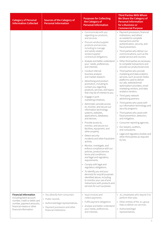| <b>Category of Personal</b><br><b>Information Collected</b>                                                                                                              | <b>Sources of the Category of</b><br><b>Personal Information</b>                                                                                                  | <b>Purposes for Collecting</b><br>the Category of<br><b>Personal Information</b>                                                                                                                                                                                                                                                                                                                                                                                                                                                                                                                                                                                                                                                                                                                                                                                                                                                                                                                                                                                                                                                                                                                                                                                                                                                        | <b>Third Parties With Whom</b><br>We Share the Category of<br><b>Personal Information</b><br>for a Business or<br><b>Commercial Purpose</b>                                                                                                                                                                                                                                                                                                                                                                                                                                                                                                                                                                                                                                                                                                                                                                                                                                                                                                |
|--------------------------------------------------------------------------------------------------------------------------------------------------------------------------|-------------------------------------------------------------------------------------------------------------------------------------------------------------------|-----------------------------------------------------------------------------------------------------------------------------------------------------------------------------------------------------------------------------------------------------------------------------------------------------------------------------------------------------------------------------------------------------------------------------------------------------------------------------------------------------------------------------------------------------------------------------------------------------------------------------------------------------------------------------------------------------------------------------------------------------------------------------------------------------------------------------------------------------------------------------------------------------------------------------------------------------------------------------------------------------------------------------------------------------------------------------------------------------------------------------------------------------------------------------------------------------------------------------------------------------------------------------------------------------------------------------------------|--------------------------------------------------------------------------------------------------------------------------------------------------------------------------------------------------------------------------------------------------------------------------------------------------------------------------------------------------------------------------------------------------------------------------------------------------------------------------------------------------------------------------------------------------------------------------------------------------------------------------------------------------------------------------------------------------------------------------------------------------------------------------------------------------------------------------------------------------------------------------------------------------------------------------------------------------------------------------------------------------------------------------------------------|
|                                                                                                                                                                          |                                                                                                                                                                   | • Communicate with you<br>regarding our products,<br>and services.<br>• Procure vendor/supplier<br>products and services,<br>including to manage<br>and satisfy related<br>vendor/supplier<br>contractual obligations.<br>• Analyze and better understand<br>your needs, preferences,<br>and interests.<br>• Conduct internal<br>business analysis<br>and market research.<br>• Advertising and product<br>promotion, including to<br>contact you regarding<br>products, services, and topics<br>that may be of interest to you.<br>• Engage in joint<br>marketing initiatives.<br>• Administer, provide access<br>to, monitor, and secure our<br>information technology<br>systems, websites,<br>applications, databases,<br>and devices.<br>• Provide access to,<br>monitor, and secure our<br>facilities, equipment, and<br>other property.<br>• Detect security<br>incidents and other fraudulent<br>activity.<br>• Monitor, investigate, and<br>enforce compliance with our<br>policies, product/service<br>terms and conditions,<br>and legal and regulatory<br>requirements.<br>• Comply with legal and<br>regulatory obligations.<br>• To identify you and your<br>device(s) for any/all purposes<br>identified above, including<br>to monitor your use of and<br>interactions with products and<br>services for such purposes. | • Payment processors, financial<br>institutions, and others<br>as needed to complete<br>transactions and for<br>authentication, security, and<br>fraud prevention.<br>• Third parties who deliver our<br>communications, such as the<br>postal service and couriers.<br>Other third parties as necessary<br>$\bullet$<br>to complete transactions and<br>provide our products/services<br>• Third parties who provide<br>marketing and data analytics<br>services, such as social media<br>platforms used to deliver<br>our ads, website/email<br>optimization providers, email<br>marketing vendors, and data<br>analytics vendors.<br>• Third party network<br>advertising partners.<br>• Third parties who assist with<br>our information technology and<br>security programs.<br>• Third parties who assist with<br>fraud prevention, detection,<br>and mitigation.<br>• Consumer reporting agencies.<br>• Our lawyers, auditors,<br>and consultants.<br>Legal and regulatory bodies and<br>other third parties as required<br>by law. |
| <b>Financial Information</b><br>Including bank account<br>number, credit or debit card<br>number, payment amounts,<br>financial means or other<br>financial information. | • You (directly from consumer).<br>Public records.<br>$\bullet$<br>• Authorized/legal representatives,<br>Payment processors and other<br>financial institutions. | • Issue invoices and<br>collect payments.<br>• Fulfill payment obligations<br>• Analyze and better understand<br>your needs, preferences,<br>and interests                                                                                                                                                                                                                                                                                                                                                                                                                                                                                                                                                                                                                                                                                                                                                                                                                                                                                                                                                                                                                                                                                                                                                                              | • JLL employees who require it to<br>perform their jobs.<br>• Other entities of the JLL group<br>help us deliver our services.<br>• Authorized/legal<br>representatives,                                                                                                                                                                                                                                                                                                                                                                                                                                                                                                                                                                                                                                                                                                                                                                                                                                                                   |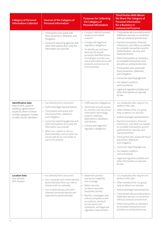| <b>Category of Personal</b><br><b>Information Collected</b>                                                                                                                | <b>Sources of the Category of</b><br><b>Personal Information</b>                                                                                                                                                                                                                                                                                                                                               | <b>Purposes for Collecting</b><br>the Category of<br><b>Personal Information</b>                                                                                                                                                                                                                                       | <b>Third Parties With Whom</b><br>We Share the Category of<br><b>Personal Information</b><br>for a Business or<br><b>Commercial Purpose</b>                                                                                                                                                                                                                                                                                                                                                                                                                                                                                                                |
|----------------------------------------------------------------------------------------------------------------------------------------------------------------------------|----------------------------------------------------------------------------------------------------------------------------------------------------------------------------------------------------------------------------------------------------------------------------------------------------------------------------------------------------------------------------------------------------------------|------------------------------------------------------------------------------------------------------------------------------------------------------------------------------------------------------------------------------------------------------------------------------------------------------------------------|------------------------------------------------------------------------------------------------------------------------------------------------------------------------------------------------------------------------------------------------------------------------------------------------------------------------------------------------------------------------------------------------------------------------------------------------------------------------------------------------------------------------------------------------------------------------------------------------------------------------------------------------------------|
|                                                                                                                                                                            | • Third parties who assist with<br>fraud prevention, detection, and<br>mitigation.<br>• Consumer reporting agencies and<br>other third parties who verify the<br>information you provide.                                                                                                                                                                                                                      | • Conduct internal business<br>analysis and market<br>research.<br>• Comply with legal and<br>regulatory obligations.<br>• To identify you and your<br>device(s) for any/all<br>purposes identified above,<br>including to monitor your<br>use of and interactions with<br>products and services for<br>such purposes. | • Third parties who provide product<br>fulfillment services in connection<br>with our products and services.<br>Payment processors, financial<br>$\bullet$<br>institutions, and others as needed<br>to complete transactions and for<br>authentication, security, and<br>fraud prevention.<br>Other third parties as necessary<br>to complete transactions and<br>provide our products/services<br>• Third parties who assist with<br>fraud prevention, detection,<br>and mitigation.<br>• Consumer reporting agencies.<br>• Our lawyers, auditors,<br>and consultants.<br>• Legal and regulatory bodies and<br>other third parties as required<br>by law. |
| <b>Identification data</b><br>Date of birth, proof of<br>residency, government<br>issued ID, driver's license<br>number, passport number,<br>or other similar identifiers. | • You (directly from consumer).<br>Authorized/legal representatives,<br>$\bullet$<br>• Third parties who assist with<br>fraud prevention, detection,<br>and mitigation.<br>• Consumer reporting agencies and<br>other third parties who verify the<br>information you provide.<br>• When you contact or visit us<br>(automatically), such as when we<br>record calls to our call center or<br>use CCTV cameras | • Fulfill payment obligations.<br>• Administer, provide access<br>to, monitor, and secure our<br>information technology<br>systems, websites,<br>applications, databases,<br>and devices.<br>• Comply with legal and<br>regulatory obligations.                                                                        | • JLL employees who require it to<br>perform their jobs.<br>• Other entities of the JLL group<br>help us deliver our services.<br>• Authorized/legal representatives,<br>Payment processors, financial<br>institutions, and others as needed<br>to complete transactions and for<br>authentication, security, and<br>fraud prevention.<br>• Third parties who assist with fraud<br>prevention, detection,<br>and mitigation.<br>• Consumer reporting agencies.<br>• Our lawyers, auditors,<br>and consultants.<br>• Legal and regulatory bodies and<br>other third parties as required<br>by law.                                                          |
| <b>Location Data</b><br>Your phones<br>GPS location                                                                                                                        | • You (directly from consumer).<br>• Your computer and mobile devices<br>(automatically) when you visit or<br>interact with our websites,<br>• Your mobile devices and other<br>internet-connected devices and<br>applications (automatically).                                                                                                                                                                | • Determine product<br>and service eligibility<br>and coverage.<br>• Detect security<br>incidents and other<br>fraudulent activity.<br>• Monitor, investigate, and<br>enforce compliance with<br>our policies, product/<br>service terms and<br>conditions, and legal and<br>regulatory requirements.                  | • JLL employees who require it to<br>perform their jobs.<br>• Other entities of the JLL group<br>help us deliver our services.<br>Authorized/legal representatives,<br>$\bullet$<br>Third parties who provide product<br>fulfillment services in connection<br>with our products and services.<br>• Other third parties as necessary<br>to complete transactions and<br>provide our products/services                                                                                                                                                                                                                                                      |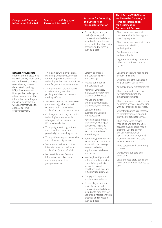| <b>Category of Personal</b><br><b>Information Collected</b>                                                                                                                                                                                                                                                                                                       | <b>Sources of the Category of</b><br><b>Personal Information</b>                                                                                                                                                                                                                                                                                                                                                                                                                                                                                                                                                                                                                                                                                                                                                                                                                                                                                                                        | <b>Purposes for Collecting</b><br>the Category of<br><b>Personal Information</b>                                                                                                                                                                                                                                                                                                                                                                                                                                                                                                                                                                                                                                                                                                                                                                                                                                                                                                                                                                                           | <b>Third Parties With Whom</b><br>We Share the Category of<br><b>Personal Information</b><br>for a Business or<br><b>Commercial Purpose</b>                                                                                                                                                                                                                                                                                                                                                                                                                                                                                                                                                                                                                                                                                                                         |
|-------------------------------------------------------------------------------------------------------------------------------------------------------------------------------------------------------------------------------------------------------------------------------------------------------------------------------------------------------------------|-----------------------------------------------------------------------------------------------------------------------------------------------------------------------------------------------------------------------------------------------------------------------------------------------------------------------------------------------------------------------------------------------------------------------------------------------------------------------------------------------------------------------------------------------------------------------------------------------------------------------------------------------------------------------------------------------------------------------------------------------------------------------------------------------------------------------------------------------------------------------------------------------------------------------------------------------------------------------------------------|----------------------------------------------------------------------------------------------------------------------------------------------------------------------------------------------------------------------------------------------------------------------------------------------------------------------------------------------------------------------------------------------------------------------------------------------------------------------------------------------------------------------------------------------------------------------------------------------------------------------------------------------------------------------------------------------------------------------------------------------------------------------------------------------------------------------------------------------------------------------------------------------------------------------------------------------------------------------------------------------------------------------------------------------------------------------------|---------------------------------------------------------------------------------------------------------------------------------------------------------------------------------------------------------------------------------------------------------------------------------------------------------------------------------------------------------------------------------------------------------------------------------------------------------------------------------------------------------------------------------------------------------------------------------------------------------------------------------------------------------------------------------------------------------------------------------------------------------------------------------------------------------------------------------------------------------------------|
| <b>Network Activity Data</b>                                                                                                                                                                                                                                                                                                                                      | • Third parties who provide digital                                                                                                                                                                                                                                                                                                                                                                                                                                                                                                                                                                                                                                                                                                                                                                                                                                                                                                                                                     | • To identify you and your<br>device(s) for any/all<br>purposes identified above,<br>including to monitor your<br>use of and interactions with<br>products and services for<br>such purposes.<br>• Determine product                                                                                                                                                                                                                                                                                                                                                                                                                                                                                                                                                                                                                                                                                                                                                                                                                                                       | • Third parties who assist with<br>our information technology and<br>security programs.<br>• Third parties who assist with fraud<br>prevention, detection,<br>and mitigation.<br>• Our lawyers, auditors,<br>and consultants.<br>Legal and regulatory bodies and<br>other third parties as required<br>by law.<br>• JLL employees who require it to                                                                                                                                                                                                                                                                                                                                                                                                                                                                                                                 |
| Internet or other electronic<br>network activity information,<br>such as browsing history,<br>search history, cookie<br>data, referring/exiting<br>URL, clickstream data,<br>time spent on webpage or<br>advertisement, and other<br>information regarding an<br>individual's interaction<br>with an internet website,<br>application, email<br>or advertisement. | marketing and analytics services<br>for us using cookies and similar<br>technologies that contain a unique<br>identifier, such as an advertising ID.<br>Third parties that provide access<br>$\bullet$<br>to information you make<br>publicly available, such as social<br>media platforms.<br>• Your computer and mobile devices<br>(automatically) when you visit<br>or interact with our websites,<br>applications, and online platforms.<br>• Cookies, web beacons, and similar<br>technologies (automatically)<br>when you visit our websites or<br>third-party websites.<br>• Third party advertising partners<br>and other third parties who<br>provide digital marketing services.<br>• Third parties who provide website<br>and online security services.<br>• Your mobile devices and other<br>internet-connected devices and<br>applications (automatically).<br>• We draw inferences from the<br>information we collect from<br>and about you, such as<br>your preferences. | and service eligibility<br>and coverage.<br>• Provide our products<br>and services to you.<br>· Administer, manage,<br>analyze, and improve our<br>products and services.<br>• Analyze and better<br>understand your needs,<br>preferences, and interests.<br>• Conduct internal<br>business analysis and<br>market research.<br>• Advertising and product<br>promotion, including to<br>contact you regarding<br>products, services, and<br>topics that may be of<br>interest to you.<br>• Administer, provide access<br>to, monitor, and secure our<br>information technology<br>systems, websites,<br>applications, databases,<br>and devices.<br>• Monitor, investigate, and<br>enforce compliance with<br>our policies, product/<br>service terms and<br>conditions, and legal and<br>regulatory requirements.<br>• Comply with legal and<br>regulatory obligations.<br>• To identify you and your<br>device(s) for any/all<br>purposes identified above,<br>including to monitor your<br>use of and interactions with<br>products and services for<br>such purposes. | perform their jobs.<br>• Other entities of the JLL group<br>help us deliver our services.<br>Authorized/legal representatives,<br>Third parties with whom we<br>have joint marketing and<br>similar arrangements.<br>• Third parties who provide product<br>fulfillment services in connection<br>with our products and services.<br>Other third parties as necessary<br>to complete transactions and<br>provide our products/services<br>Third parties who provide<br>marketing and data analytics<br>services, such as social media<br>platforms used to deliver<br>our ads, website/email<br>optimization providers, email<br>marketing vendors, and data<br>analytics vendors.<br>• Third party network advertising<br>partners.<br>Our lawyers, auditors, and<br>consultants.<br>Legal and regulatory bodies and<br>other third parties as required by<br>law. |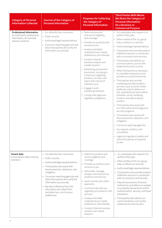| <b>Category of Personal</b><br><b>Information Collected</b>                                                       | <b>Sources of the Category of</b><br><b>Personal Information</b>                                                                                                                                                                                                                                                                                                                                     | <b>Purposes for Collecting</b><br>the Category of<br><b>Personal Information</b>                                                                                                                                                                                                                                                                                                                                                                                                                                                               | <b>Third Parties With Whom</b><br>We Share the Category of<br><b>Personal Information</b><br>for a Business or<br><b>Commercial Purpose</b>                                                                                                                                                                                                                                                                                                                                                                                                                                                                                                                                                                                                                                                                                                                                                                                                                                                                                                                                                    |
|-------------------------------------------------------------------------------------------------------------------|------------------------------------------------------------------------------------------------------------------------------------------------------------------------------------------------------------------------------------------------------------------------------------------------------------------------------------------------------------------------------------------------------|------------------------------------------------------------------------------------------------------------------------------------------------------------------------------------------------------------------------------------------------------------------------------------------------------------------------------------------------------------------------------------------------------------------------------------------------------------------------------------------------------------------------------------------------|------------------------------------------------------------------------------------------------------------------------------------------------------------------------------------------------------------------------------------------------------------------------------------------------------------------------------------------------------------------------------------------------------------------------------------------------------------------------------------------------------------------------------------------------------------------------------------------------------------------------------------------------------------------------------------------------------------------------------------------------------------------------------------------------------------------------------------------------------------------------------------------------------------------------------------------------------------------------------------------------------------------------------------------------------------------------------------------------|
| <b>Professional Information</b><br>An individual's professional<br>information, for example<br>director positions | • You (directly from consumer).<br>• Public records.<br>• Authorized/legal representatives,<br>• Consumer reporting agencies and<br>other third parties who verify the<br>information you provide.                                                                                                                                                                                                   | • Determine product<br>and service eligibility<br>and coverage.<br>Provide our products and<br>$\bullet$<br>services to you.<br>• Analyze and better<br>understand your needs,<br>preferences, and interests.<br>• Conduct internal<br>business analysis and<br>market research.<br>• Advertising and product<br>promotion, including to<br>contact you regarding<br>products, services, and<br>topics that may be of<br>interest to you.<br>• Engage in joint<br>marketing initiatives.<br>• Comply with legal and<br>regulatory obligations. | • JLL employees who require it to<br>perform their jobs.<br>• Other entities of the JLL group<br>help us deliver our services.<br>• Authorized/legal representatives,<br>Third parties who provide product<br>fulfillment services in connection<br>with our products and services.<br>• Third parties who deliver our<br>communications, such as the<br>postal service and couriers.<br>• Other third parties as necessary<br>to complete transactions and<br>provide our products/services<br>• Third parties who provide<br>marketing and data analytics<br>services, such as social media<br>platforms used to deliver our<br>ads, website/email optimization<br>providers, email marketing<br>vendors, and data analytics<br>vendors.<br>• Third parties who assist with<br>our information technology and<br>security programs.<br>• Third parties who assist with<br>fraud prevention, detection, and<br>mitigation.<br>• Consumer reporting agencies.<br>• Our lawyers, auditors, and<br>consultants.<br>Legal and regulatory bodies and<br>other third parties as required<br>by law. |
| Tenant data<br>Consumption data or family<br>members                                                              | • You (directly from consumer).<br>• Public records.<br>Authorized/legal representatives,<br>• Third parties who assist with<br>fraud prevention, detection, and<br>mitigation.<br>• Consumer reporting agencies and<br>other third parties who verify the<br>information you provide.<br>• We draw inferences from the<br>information we collect from<br>and about you, such as your<br>preferences | Determine product and<br>$\bullet$<br>service eligibility and<br>coverage.<br>Provide our products and<br>services to you.<br>· Administer, manage,<br>analyze, and improve our<br>products and services.<br>• Issue invoices and collect<br>payments.<br>• Communicate with you<br>regarding our products, and<br>services.<br>• Analyze and better<br>understand your needs,<br>preferences, and interests.<br>• Conduct internal business<br>analysis and market<br>research.                                                               | · JLL employees who require it to<br>perform their jobs.<br>• Other entities of the JLL group<br>help us deliver our services.<br>• Authorized/legal representatives,<br>Third parties who provide product<br>fulfillment services in connection<br>with our products and services.<br>• Payment processors, financial<br>institutions, and others as needed<br>to complete transactions and for<br>authentication, security, and fraud<br>prevention.<br>Third parties who deliver our<br>communications, such as the<br>postal service and couriers.                                                                                                                                                                                                                                                                                                                                                                                                                                                                                                                                         |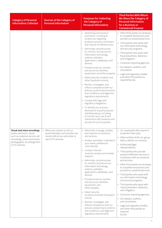| <b>Category of Personal</b><br><b>Information Collected</b>                                                                                                                             | <b>Sources of the Category of</b><br><b>Personal Information</b>                                                             | <b>Purposes for Collecting</b><br>the Category of<br><b>Personal Information</b>                                                                                                                                                                                                                                                                                                                                                                                                                                                                                                                                                                                                                                                                                                                                                                                                              | <b>Third Parties With Whom</b><br>We Share the Category of<br><b>Personal Information</b><br>for a Business or<br><b>Commercial Purpose</b>                                                                                                                                                                                                                                                                                                                                                                                                                                                                                                                                                                                                                            |
|-----------------------------------------------------------------------------------------------------------------------------------------------------------------------------------------|------------------------------------------------------------------------------------------------------------------------------|-----------------------------------------------------------------------------------------------------------------------------------------------------------------------------------------------------------------------------------------------------------------------------------------------------------------------------------------------------------------------------------------------------------------------------------------------------------------------------------------------------------------------------------------------------------------------------------------------------------------------------------------------------------------------------------------------------------------------------------------------------------------------------------------------------------------------------------------------------------------------------------------------|------------------------------------------------------------------------------------------------------------------------------------------------------------------------------------------------------------------------------------------------------------------------------------------------------------------------------------------------------------------------------------------------------------------------------------------------------------------------------------------------------------------------------------------------------------------------------------------------------------------------------------------------------------------------------------------------------------------------------------------------------------------------|
|                                                                                                                                                                                         |                                                                                                                              | • Advertising and product<br>promotion, including to<br>contact you regarding<br>products, services, and topics<br>that may be of interest to you.<br>• Administer, provide access<br>to, monitor, and secure our<br>information technology<br>systems, websites,<br>applications, databases, and<br>devices.<br>Provide access to, monitor,<br>and secure our facilities,<br>equipment, and other property.<br>Detect security incidents and<br>other fraudulent activity.<br>• Monitor, investigate, and<br>enforce compliance with our<br>policies, product/service terms<br>and conditions, and legal and<br>regulatory requirements.<br>• Comply with legal and<br>regulatory obligations.<br>• To identify you and your<br>device(s) for any/all purposes<br>identified above, including<br>to monitor your use of and<br>interactions with products and<br>services for such purposes. | • Other third parties as necessary<br>to complete transactions and<br>provide our products/services<br>• Third parties who assist with<br>our information technology<br>and security programs.<br>• Third parties who assist with<br>fraud prevention, detection,<br>and mitigation.<br>• Consumer reporting agencies.<br>• Our lawyers, auditors, and<br>consultants.<br>• Legal and regulatory bodies<br>and other third parties as<br>required by law.                                                                                                                                                                                                                                                                                                              |
| <b>Visual and voice recordings</b><br>Audio, electronic, visual,<br>such as customer service call<br>recordings, voice commands,<br>photographs, recordings from<br><b>CCTV</b> cameras | • When you contact or visit us<br>(automatically), such as when we<br>record calls to our call center or<br>use CCTV cameras | · Administer, manage, analyze,<br>and improve our products<br>and services.<br>• Analyze and better understand<br>your needs, preferences<br>and interests.<br>• Conduct internal<br>business analysis and market<br>research.<br>• Administer, provide access<br>to, monitor, and secure our<br>information technology<br>systems, websites,<br>applications, databases, and<br>devices.<br>Provide access to, monitor,<br>and secure our facilities,<br>equipment, and<br>other property.<br>Detect security<br>incidents and other fraudulent<br>activity.<br>• Monitor, investigate, and<br>enforce compliance with our<br>policies, product/service terms<br>and conditions, and legal and<br>regulatory requirements.                                                                                                                                                                   | · JLL employees who require it<br>to perform their jobs.<br>• Other entities of the JLL group<br>help us deliver our services.<br>• Authorized/legal<br>representatives,<br>• Third parties who provide<br>product fulfillment services in<br>connection with our products<br>and services.<br>• Other third parties as necessary<br>to complete transactions and<br>provide our products/services<br>• Third parties who assist with<br>our information technology<br>and security programs.<br>• Third parties who assist with<br>fraud prevention, detection,<br>and mitigation.<br>Consumer reporting agencies.<br>$\bullet$<br>• Our lawyers, auditors,<br>and consultants.<br>• Legal and regulatory bodies<br>and other third parties as<br>required<br>by law. |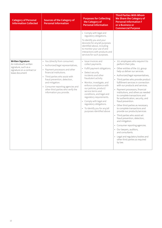| <b>Category of Personal</b><br><b>Information Collected</b>                                     | <b>Sources of the Category of</b><br><b>Personal Information</b>                                                                                                                                                                                                                        | <b>Purposes for Collecting</b><br>the Category of<br><b>Personal Information</b>                                                                                                                                                                                                                                                                                                                              | <b>Third Parties With Whom</b><br>We Share the Category of<br><b>Personal Information f</b><br>or a Business or<br><b>Commercial Purpose</b>                                                                                                                                                                                                                                                                                                                                                                                                                                                                                                                                                                                                                                         |
|-------------------------------------------------------------------------------------------------|-----------------------------------------------------------------------------------------------------------------------------------------------------------------------------------------------------------------------------------------------------------------------------------------|---------------------------------------------------------------------------------------------------------------------------------------------------------------------------------------------------------------------------------------------------------------------------------------------------------------------------------------------------------------------------------------------------------------|--------------------------------------------------------------------------------------------------------------------------------------------------------------------------------------------------------------------------------------------------------------------------------------------------------------------------------------------------------------------------------------------------------------------------------------------------------------------------------------------------------------------------------------------------------------------------------------------------------------------------------------------------------------------------------------------------------------------------------------------------------------------------------------|
| <b>Written Signature</b>                                                                        | • You (directly from consumer).                                                                                                                                                                                                                                                         | • Comply with legal and<br>regulatory obligations.<br>To identify you and your<br>device(s) for any/all purposes<br>identified above, including<br>to monitor your use of and<br>interactions with products and<br>services for such purposes.<br>• Issue invoices and                                                                                                                                        | · JLL employees who require it to                                                                                                                                                                                                                                                                                                                                                                                                                                                                                                                                                                                                                                                                                                                                                    |
| An individual's written<br>signature, such as a<br>signature on a contract or<br>lease document | Authorized/legal representatives,<br>Payment processors and other<br>financial institutions.<br>Third parties who assist with<br>fraud prevention, detection,<br>and mitigation.<br>• Consumer reporting agencies and<br>other third parties who verify the<br>information you provide. | collect payments.<br>• Fulfill payment obligations.<br>• Detect security<br>incidents and other<br>fraudulent activity.<br>• Monitor, investigate, and<br>enforce compliance with<br>our policies, product/<br>service terms and<br>conditions, and legal and<br>regulatory requirements.<br>• Comply with legal and<br>regulatory obligations.<br>• To identify you for any/all<br>purposes identified above | perform their jobs.<br>• Other entities of the JLL group<br>help us deliver our services.<br>• Authorized/legal representatives,<br>• Third parties who provide product<br>fulfillment services in connection<br>with our products and services.<br>• Payment processors, financial<br>institutions, and others as needed<br>to complete transactions and<br>for authentication, security, and<br>fraud prevention.<br>• Other third parties as necessary<br>to complete transactions and<br>provide our products/services<br>• Third parties who assist wit<br>fraud prevention, detection,<br>and mitigation.<br>• Consumer reporting agencies.<br>• Our lawyers, auditors,<br>and consultants.<br>• Legal and regulatory bodies and<br>other third parties as required<br>by law. |